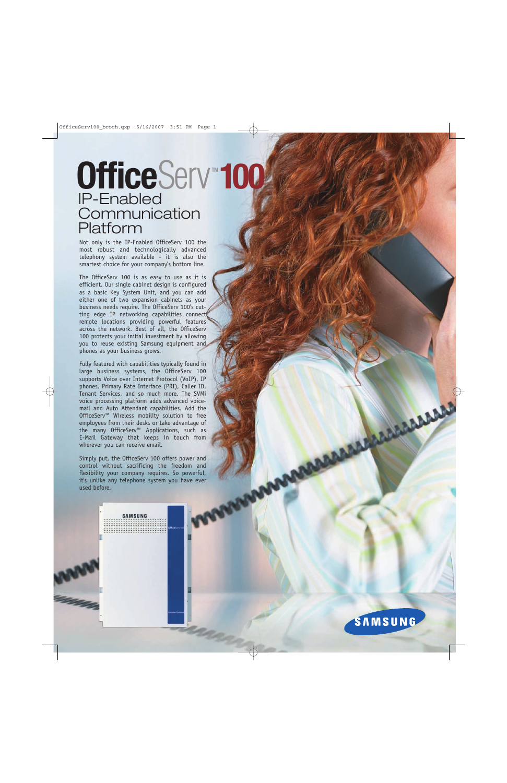# OfficeServ<sup>\*</sup>100 IP-Enabled **Communication** Platform

Not only is the IP-Enabled OfficeServ 100 the most robust and technologically advanced telephony system available - it is also the smartest choice for your company's bottom line.

The OfficeServ 100 is as easy to use as it is efficient. Our single cabinet design is configured as a basic Key System Unit, and you can add either one of two expansion cabinets as your business needs require. The OfficeServ 100's cutting edge IP networking capabilities connect remote locations providing powerful features across the network. Best of all, the OfficeServ 100 protects your initial investment by allowing you to reuse existing Samsung equipment and phones as your business grows.

Fully featured with capabilities typically found in large business systems, the OfficeServ 100 supports Voice over Internet Protocol (VoIP), IP phones, Primary Rate Interface (PRI), Caller ID, Tenant Services, and so much more. The SVMi voice processing platform adds advanced voicemail and Auto Attendant capabilities. Add the OfficeServ™ Wireless mobility solution to free employees from their desks or take advantage of the many OfficeServ™ Applications, such as E-Mail Gateway that keeps in touch from wherever you can receive email.

Simply put, the OfficeServ 100 offers power and control without sacrificing the freedom and flexibility your company requires. So powerful, it's unlike any telephone system you have ever used before.

**SAMSUNG** 

**SAMSUNG** 

**BARABARASARASARAS**